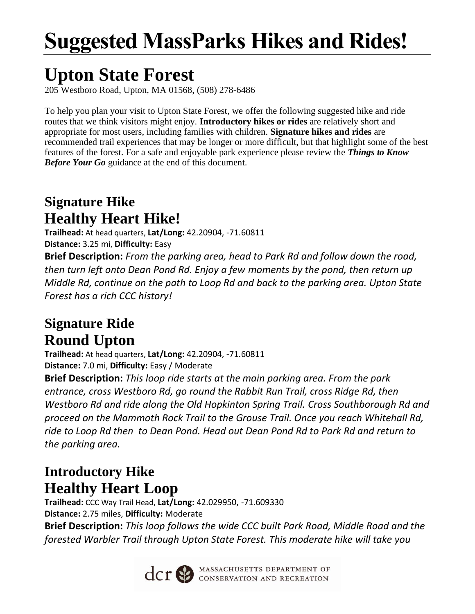# **Suggested MassParks Hikes and Rides!**

## **Upton State Forest**

205 Westboro Road, Upton, MA 01568, (508) 278-6486

To help you plan your visit to Upton State Forest, we offer the following suggested hike and ride routes that we think visitors might enjoy. **Introductory hikes or rides** are relatively short and appropriate for most users, including families with children. **Signature hikes and rides** are recommended trail experiences that may be longer or more difficult, but that highlight some of the best features of the forest. For a safe and enjoyable park experience please review the *Things to Know Before Your Go* guidance at the end of this document.

### **Signature Hike Healthy Heart Hike!**

**Trailhead:** At head quarters, **Lat/Long:** 42.20904, -71.60811 **Distance:** 3.25 mi, **Difficulty:** Easy

**Brief Description:** *From the parking area, head to Park Rd and follow down the road, then turn left onto Dean Pond Rd. Enjoy a few moments by the pond, then return up Middle Rd, continue on the path to Loop Rd and back to the parking area. Upton State Forest has a rich CCC history!*

### **Signature Ride Round Upton**

**Trailhead:** At head quarters, **Lat/Long:** 42.20904, -71.60811 **Distance:** 7.0 mi, **Difficulty:** Easy / Moderate

**Brief Description:** *This loop ride starts at the main parking area. From the park entrance, cross Westboro Rd, go round the Rabbit Run Trail, cross Ridge Rd, then Westboro Rd and ride along the Old Hopkinton Spring Trail. Cross Southborough Rd and proceed on the Mammoth Rock Trail to the Grouse Trail. Once you reach Whitehall Rd, ride to Loop Rd then to Dean Pond. Head out Dean Pond Rd to Park Rd and return to the parking area.*

### **Introductory Hike Healthy Heart Loop**

**Trailhead:** CCC Way Trail Head, **Lat/Long:** 42.029950, -71.609330 **Distance:** 2.75 miles, **Difficulty:** Moderate **Brief Description:** *This loop follows the wide CCC built Park Road, Middle Road and the forested Warbler Trail through Upton State Forest. This moderate hike will take you* 



**CCT SEPARTMENT OF CONSERVATION AND RECREATION**